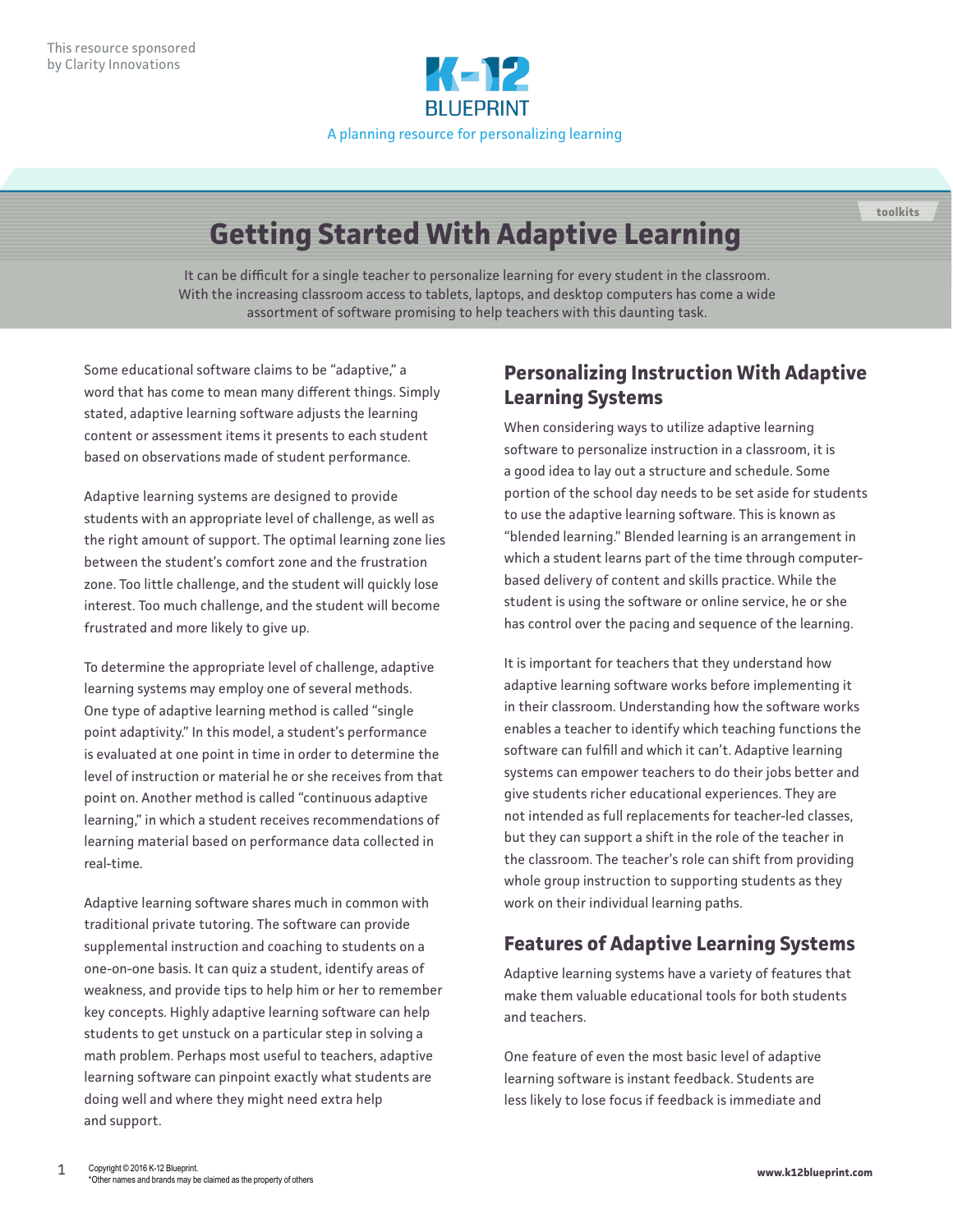

# **Getting Started With Adaptive Learning**

It can be difficult for a single teacher to personalize learning for every student in the classroom. With the increasing classroom access to tablets, laptops, and desktop computers has come a wide assortment of software promising to help teachers with this daunting task.

Some educational software claims to be "adaptive," a word that has come to mean many different things. Simply stated, adaptive learning software adjusts the learning content or assessment items it presents to each student based on observations made of student performance.

Adaptive learning systems are designed to provide students with an appropriate level of challenge, as well as the right amount of support. The optimal learning zone lies between the student's comfort zone and the frustration zone. Too little challenge, and the student will quickly lose interest. Too much challenge, and the student will become frustrated and more likely to give up.

To determine the appropriate level of challenge, adaptive learning systems may employ one of several methods. One type of adaptive learning method is called "single point adaptivity." In this model, a student's performance is evaluated at one point in time in order to determine the level of instruction or material he or she receives from that point on. Another method is called "continuous adaptive learning," in which a student receives recommendations of learning material based on performance data collected in real-time.

Adaptive learning software shares much in common with traditional private tutoring. The software can provide supplemental instruction and coaching to students on a one-on-one basis. It can quiz a student, identify areas of weakness, and provide tips to help him or her to remember key concepts. Highly adaptive learning software can help students to get unstuck on a particular step in solving a math problem. Perhaps most useful to teachers, adaptive learning software can pinpoint exactly what students are doing well and where they might need extra help and support.

### **Personalizing Instruction With Adaptive Learning Systems**

**toolkits**

When considering ways to utilize adaptive learning software to personalize instruction in a classroom, it is a good idea to lay out a structure and schedule. Some portion of the school day needs to be set aside for students to use the adaptive learning software. This is known as "blended learning." Blended learning is an arrangement in which a student learns part of the time through computerbased delivery of content and skills practice. While the student is using the software or online service, he or she has control over the pacing and sequence of the learning.

It is important for teachers that they understand how adaptive learning software works before implementing it in their classroom. Understanding how the software works enables a teacher to identify which teaching functions the software can fulfill and which it can't. Adaptive learning systems can empower teachers to do their jobs better and give students richer educational experiences. They are not intended as full replacements for teacher-led classes, but they can support a shift in the role of the teacher in the classroom. The teacher's role can shift from providing whole group instruction to supporting students as they work on their individual learning paths.

## **Features of Adaptive Learning Systems**

Adaptive learning systems have a variety of features that make them valuable educational tools for both students and teachers.

One feature of even the most basic level of adaptive learning software is instant feedback. Students are less likely to lose focus if feedback is immediate and